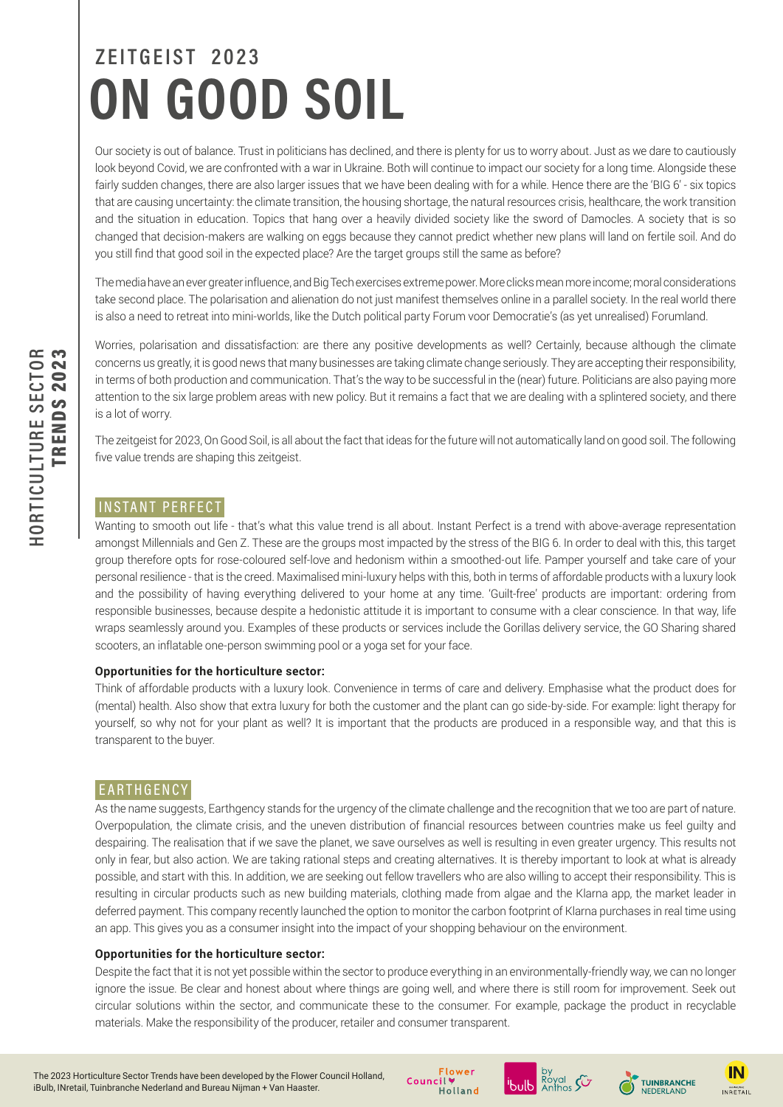# **ZEITGEIST 2023 ON GOOD SOIL**

Our society is out of balance. Trust in politicians has declined, and there is plenty for us to worry about. Just as we dare to cautiously look beyond Covid, we are confronted with a war in Ukraine. Both will continue to impact our society for a long time. Alongside these fairly sudden changes, there are also larger issues that we have been dealing with for a while. Hence there are the 'BIG 6' - six topics that are causing uncertainty: the climate transition, the housing shortage, the natural resources crisis, healthcare, the work transition and the situation in education. Topics that hang over a heavily divided society like the sword of Damocles. A society that is so changed that decision-makers are walking on eggs because they cannot predict whether new plans will land on fertile soil. And do you still find that good soil in the expected place? Are the target groups still the same as before?

The media have an ever greater influence, and Big Tech exercises extreme power. More clicks mean more income; moral considerations take second place. The polarisation and alienation do not just manifest themselves online in a parallel society. In the real world there is also a need to retreat into mini-worlds, like the Dutch political party Forum voor Democratie's (as yet unrealised) Forumland.

Worries, polarisation and dissatisfaction: are there any positive developments as well? Certainly, because although the climate concerns us greatly, it is good news that many businesses are taking climate change seriously. They are accepting their responsibility, in terms of both production and communication. That's the way to be successful in the (near) future. Politicians are also paying more attention to the six large problem areas with new policy. But it remains a fact that we are dealing with a splintered society, and there is a lot of worry.

The zeitgeist for 2023, On Good Soil, is all about the fact that ideas for the future will not automatically land on good soil. The following five value trends are shaping this zeitgeist.

# INSTANT PERFECT

Wanting to smooth out life - that's what this value trend is all about. Instant Perfect is a trend with above-average representation amongst Millennials and Gen Z. These are the groups most impacted by the stress of the BIG 6. In order to deal with this, this target group therefore opts for rose-coloured self-love and hedonism within a smoothed-out life. Pamper yourself and take care of your personal resilience - that is the creed. Maximalised mini-luxury helps with this, both in terms of affordable products with a luxury look and the possibility of having everything delivered to your home at any time. 'Guilt-free' products are important: ordering from responsible businesses, because despite a hedonistic attitude it is important to consume with a clear conscience. In that way, life wraps seamlessly around you. Examples of these products or services include the Gorillas delivery service, the GO Sharing shared scooters, an inflatable one-person swimming pool or a yoga set for your face.

#### **Opportunities for the horticulture sector:**

Think of affordable products with a luxury look. Convenience in terms of care and delivery. Emphasise what the product does for (mental) health. Also show that extra luxury for both the customer and the plant can go side-by-side. For example: light therapy for yourself, so why not for your plant as well? It is important that the products are produced in a responsible way, and that this is transparent to the buyer.

# EARTHGENCY

As the name suggests. Earthgency stands for the urgency of the climate challenge and the recognition that we too are part of nature. Overpopulation, the climate crisis, and the uneven distribution of financial resources between countries make us feel guilty and despairing. The realisation that if we save the planet, we save ourselves as well is resulting in even greater urgency. This results not only in fear, but also action. We are taking rational steps and creating alternatives. It is thereby important to look at what is already possible, and start with this. In addition, we are seeking out fellow travellers who are also willing to accept their responsibility. This is resulting in circular products such as new building materials, clothing made from algae and the Klarna app, the market leader in deferred payment. This company recently launched the option to monitor the carbon footprint of Klarna purchases in real time using an app. This gives you as a consumer insight into the impact of your shopping behaviour on the environment.

#### **Opportunities for the horticulture sector:**

Despite the fact that it is not yet possible within the sector to produce everything in an environmentally-friendly way, we can no longer ignore the issue. Be clear and honest about where things are going well, and where there is still room for improvement. Seek out circular solutions within the sector, and communicate these to the consumer. For example, package the product in recyclable materials. Make the responsibility of the producer, retailer and consumer transparent.